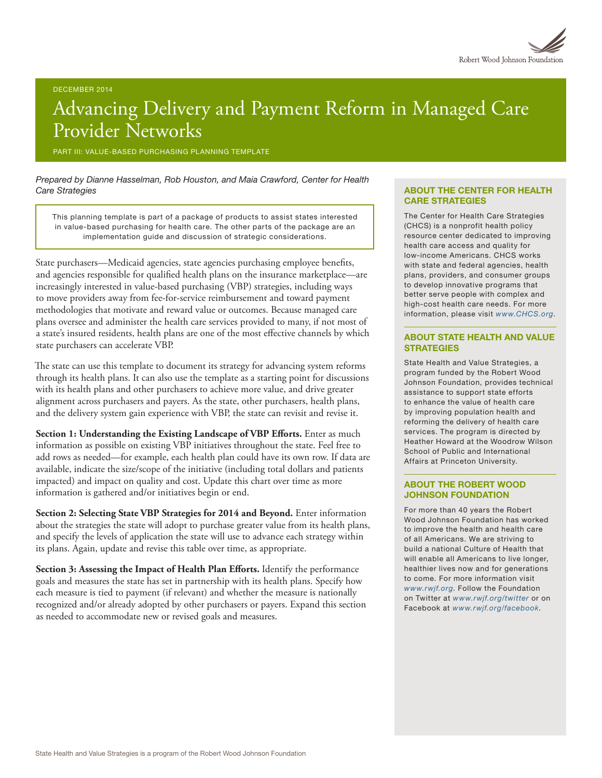# Advancing Delivery and Payment Reform in Managed Care Provider Networks

PART III: VALUE-BASED PURCHASING PLANNING TEMPLATE

*Prepared by Dianne Hasselman, Rob Houston, and Maia Crawford, Center for Health Care Strategies*

This planning template is part of a package of products to assist states interested in value-based purchasing for health care. The other parts of the package are an implementation guide and discussion of strategic considerations.

State purchasers—Medicaid agencies, state agencies purchasing employee benefits, and agencies responsible for qualified health plans on the insurance marketplace—are increasingly interested in value-based purchasing (VBP) strategies, including ways to move providers away from fee-for-service reimbursement and toward payment methodologies that motivate and reward value or outcomes. Because managed care plans oversee and administer the health care services provided to many, if not most of a state's insured residents, health plans are one of the most effective channels by which state purchasers can accelerate VBP.

The state can use this template to document its strategy for advancing system reforms through its health plans. It can also use the template as a starting point for discussions with its health plans and other purchasers to achieve more value, and drive greater alignment across purchasers and payers. As the state, other purchasers, health plans, and the delivery system gain experience with VBP, the state can revisit and revise it.

**Section 1: Understanding the Existing Landscape of VBP Efforts.** Enter as much information as possible on existing VBP initiatives throughout the state. Feel free to add rows as needed—for example, each health plan could have its own row. If data are available, indicate the size/scope of the initiative (including total dollars and patients impacted) and impact on quality and cost. Update this chart over time as more information is gathered and/or initiatives begin or end.

**Section 2: Selecting State VBP Strategies for 2014 and Beyond.** Enter information about the strategies the state will adopt to purchase greater value from its health plans, and specify the levels of application the state will use to advance each strategy within its plans. Again, update and revise this table over time, as appropriate.

**Section 3: Assessing the Impact of Health Plan Efforts.** Identify the performance goals and measures the state has set in partnership with its health plans. Specify how each measure is tied to payment (if relevant) and whether the measure is nationally recognized and/or already adopted by other purchasers or payers. Expand this section as needed to accommodate new or revised goals and measures.

#### ABOUT THE CENTER FOR HEALTH CARE STRATEGIES

The Center for Health Care Strategies (CHCS) is a nonprofit health policy resource center dedicated to improving health care access and quality for low-income Americans. CHCS works with state and federal agencies, health plans, providers, and consumer groups to develop innovative programs that better serve people with complex and high-cost health care needs. For more information, please visit *[www.CHCS.org](http://www.CHCS.org)*.

#### ABOUT STATE HEALTH AND VALUE **STRATEGIES**

State Health and Value Strategies, a program funded by the Robert Wood Johnson Foundation, provides technical assistance to support state efforts to enhance the value of health care by improving population health and reforming the delivery of health care services. The program is directed by Heather Howard at the Woodrow Wilson School of Public and International Affairs at Princeton University.

#### ABOUT THE ROBERT WOOD JOHNSON FOUNDATION

For more than 40 years the Robert Wood Johnson Foundation has worked to improve the health and health care of all Americans. We are striving to build a national Culture of Health that will enable all Americans to live longer, healthier lives now and for generations to come. For more information visit *[www.rwjf.org](http://www.rwjf.org/)*. Follow the Foundation on Twitter at *[www.rwjf.org/twitter](http://www.rwjf.org/twitter)* or on Facebook at *[www.rwjf.org/facebook](http://www.rwjf.org/facebook)*.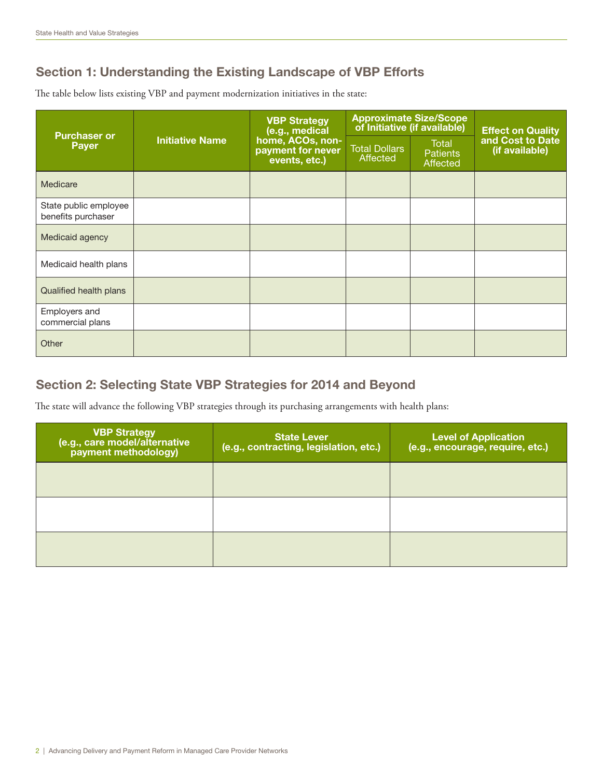# Section 1: Understanding the Existing Landscape of VBP Efforts

The table below lists existing VBP and payment modernization initiatives in the state:

| <b>Purchaser or</b><br><b>Payer</b>         | <b>Initiative Name</b> | <b>VBP Strategy</b><br>(e.g., medical<br>home, ACOs, non-<br>payment for never<br>events, etc.) | <b>Approximate Size/Scope</b><br>of Initiative (if available) |                                      | <b>Effect on Quality</b>           |
|---------------------------------------------|------------------------|-------------------------------------------------------------------------------------------------|---------------------------------------------------------------|--------------------------------------|------------------------------------|
|                                             |                        |                                                                                                 | <b>Total Dollars</b><br><b>Affected</b>                       | Total<br><b>Patients</b><br>Affected | and Cost to Date<br>(if available) |
| Medicare                                    |                        |                                                                                                 |                                                               |                                      |                                    |
| State public employee<br>benefits purchaser |                        |                                                                                                 |                                                               |                                      |                                    |
| Medicaid agency                             |                        |                                                                                                 |                                                               |                                      |                                    |
| Medicaid health plans                       |                        |                                                                                                 |                                                               |                                      |                                    |
| <b>Qualified health plans</b>               |                        |                                                                                                 |                                                               |                                      |                                    |
| Employers and<br>commercial plans           |                        |                                                                                                 |                                                               |                                      |                                    |
| Other                                       |                        |                                                                                                 |                                                               |                                      |                                    |

## Section 2: Selecting State VBP Strategies for 2014 and Beyond

The state will advance the following VBP strategies through its purchasing arrangements with health plans:

| <b>VBP Strategy</b><br>(e.g., care model/alternative<br>payment methodology) | <b>State Lever</b><br>(e.g., contracting, legislation, etc.) | <b>Level of Application</b><br>(e.g., encourage, require, etc.) |
|------------------------------------------------------------------------------|--------------------------------------------------------------|-----------------------------------------------------------------|
|                                                                              |                                                              |                                                                 |
|                                                                              |                                                              |                                                                 |
|                                                                              |                                                              |                                                                 |